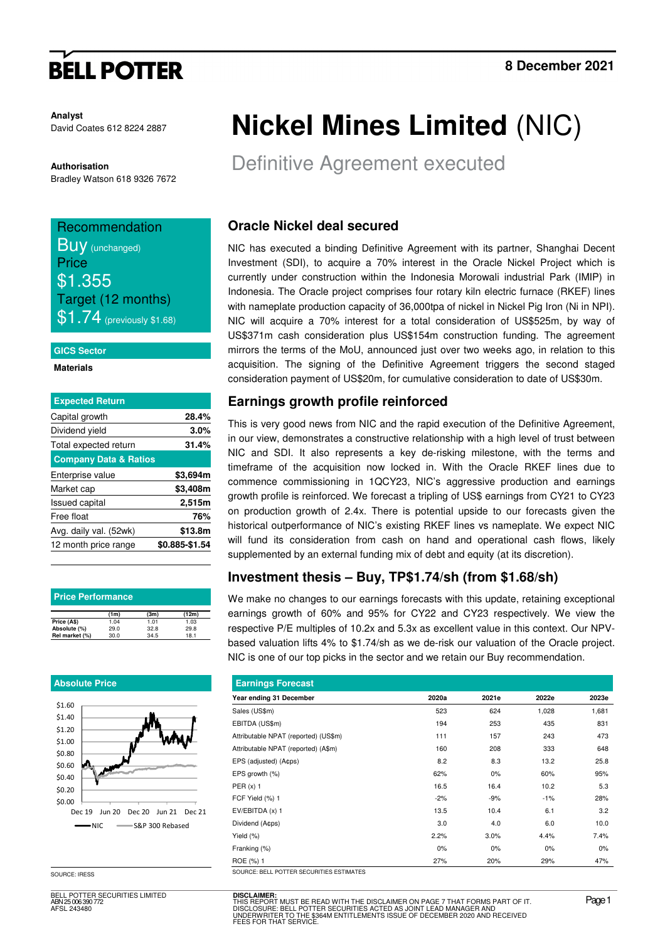# **BELL POTTER**

**Analyst** David Coates 612 8224 2887

#### **Authorisation**

Bradley Watson 618 9326 7672

#### Recommendation **Buy** (unchanged) **Price**

\$1.355 Target (12 months)  $$1.74$  (previously \$1.68)

#### **GICS Sector**

**Materials** 

| <b>Expected Return</b>           |                |
|----------------------------------|----------------|
| Capital growth                   | 28.4%          |
| Dividend yield                   | 3.0%           |
| Total expected return            | 31.4%          |
| <b>Company Data &amp; Ratios</b> |                |
| Enterprise value                 | \$3,694m       |
| Market cap                       | \$3,408m       |
| <b>Issued capital</b>            | 2,515m         |
| Free float                       | 76%            |
| Avg. daily val. (52wk)           | \$13.8m        |
| 12 month price range             | \$0.885-\$1.54 |
|                                  |                |

| <b>Price Performance</b> |      |      |       |  |  |  |  |  |
|--------------------------|------|------|-------|--|--|--|--|--|
|                          | (1m) | (3m) | (12m) |  |  |  |  |  |
| Price (A\$)              | 1.04 | 1.01 | 1.03  |  |  |  |  |  |
| Absolute (%)             | 29.0 | 32.8 | 29.8  |  |  |  |  |  |
| Rel market (%)           | 30.0 | 34.5 | 18.1  |  |  |  |  |  |

#### **Absolute Price**



SOURCE: IRESS

BELL POTTER SECURITIES LIMITED ABN 25 006 390 772 AFSL 243480

# **Nickel Mines Limited** (NIC)

Definitive Agreement executed

## **Oracle Nickel deal secured**

NIC has executed a binding Definitive Agreement with its partner, Shanghai Decent Investment (SDI), to acquire a 70% interest in the Oracle Nickel Project which is currently under construction within the Indonesia Morowali industrial Park (IMIP) in Indonesia. The Oracle project comprises four rotary kiln electric furnace (RKEF) lines with nameplate production capacity of 36,000tpa of nickel in Nickel Pig Iron (Ni in NPI). NIC will acquire a 70% interest for a total consideration of US\$525m, by way of US\$371m cash consideration plus US\$154m construction funding. The agreement mirrors the terms of the MoU, announced just over two weeks ago, in relation to this acquisition. The signing of the Definitive Agreement triggers the second staged consideration payment of US\$20m, for cumulative consideration to date of US\$30m.

## **Earnings growth profile reinforced**

This is very good news from NIC and the rapid execution of the Definitive Agreement, in our view, demonstrates a constructive relationship with a high level of trust between NIC and SDI. It also represents a key de-risking milestone, with the terms and timeframe of the acquisition now locked in. With the Oracle RKEF lines due to commence commissioning in 1QCY23, NIC's aggressive production and earnings growth profile is reinforced. We forecast a tripling of US\$ earnings from CY21 to CY23 on production growth of 2.4x. There is potential upside to our forecasts given the historical outperformance of NIC's existing RKEF lines vs nameplate. We expect NIC will fund its consideration from cash on hand and operational cash flows, likely supplemented by an external funding mix of debt and equity (at its discretion).

### **Investment thesis – Buy, TP\$1.74/sh (from \$1.68/sh)**

We make no changes to our earnings forecasts with this update, retaining exceptional earnings growth of 60% and 95% for CY22 and CY23 respectively. We view the respective P/E multiples of 10.2x and 5.3x as excellent value in this context. Our NPVbased valuation lifts 4% to \$1.74/sh as we de-risk our valuation of the Oracle project. NIC is one of our top picks in the sector and we retain our Buy recommendation.

|       | <b>Earnings Forecast</b> |       |       |  |  |  |  |  |  |  |
|-------|--------------------------|-------|-------|--|--|--|--|--|--|--|
|       | 2021e                    | 2022e | 2023e |  |  |  |  |  |  |  |
| 523   | 624                      | 1,028 | 1,681 |  |  |  |  |  |  |  |
| 194   | 253                      | 435   | 831   |  |  |  |  |  |  |  |
| 111   | 157                      | 243   | 473   |  |  |  |  |  |  |  |
| 160   | 208                      | 333   | 648   |  |  |  |  |  |  |  |
| 8.2   | 8.3                      | 13.2  | 25.8  |  |  |  |  |  |  |  |
| 62%   | 0%                       | 60%   | 95%   |  |  |  |  |  |  |  |
| 16.5  | 16.4                     | 10.2  | 5.3   |  |  |  |  |  |  |  |
| $-2%$ | $-9%$                    | $-1%$ | 28%   |  |  |  |  |  |  |  |
| 13.5  | 10.4                     | 6.1   | 3.2   |  |  |  |  |  |  |  |
| 3.0   | 4.0                      | 6.0   | 10.0  |  |  |  |  |  |  |  |
| 2.2%  | 3.0%                     | 4.4%  | 7.4%  |  |  |  |  |  |  |  |
| 0%    | 0%                       | 0%    | 0%    |  |  |  |  |  |  |  |
| 27%   | 20%                      | 29%   | 47%   |  |  |  |  |  |  |  |
|       | 2020a                    |       |       |  |  |  |  |  |  |  |

**DISCLAIMER:** THIS REPORT MUST BE READ WITH THE DISCLAIMER ON PAGE 7 THAT FORMS PART OF IT.<br>DISCLOSURE: BELL POTTER SECURITIES ACTED AS JOINT LEAD MANAGER AND<br>UNDERWRITER TO THE \$364M ENTITLEMENTS ISSUE OF DECEMBER 2020 AND RECEIVED<br>FEE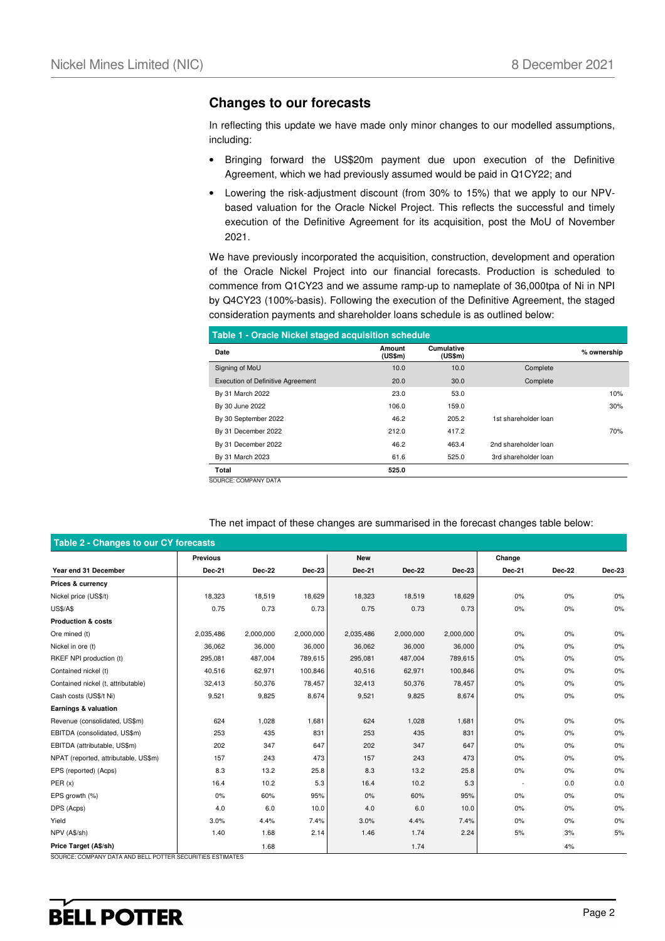#### **Changes to our forecasts**

In reflecting this update we have made only minor changes to our modelled assumptions, including:

- Bringing forward the US\$20m payment due upon execution of the Definitive Agreement, which we had previously assumed would be paid in Q1CY22; and
- Lowering the risk-adjustment discount (from 30% to 15%) that we apply to our NPVbased valuation for the Oracle Nickel Project. This reflects the successful and timely execution of the Definitive Agreement for its acquisition, post the MoU of November 2021.

We have previously incorporated the acquisition, construction, development and operation of the Oracle Nickel Project into our financial forecasts. Production is scheduled to commence from Q1CY23 and we assume ramp-up to nameplate of 36,000tpa of Ni in NPI by Q4CY23 (100%-basis). Following the execution of the Definitive Agreement, the staged consideration payments and shareholder loans schedule is as outlined below:

| Table 1 - Oracle Nickel staged acquisition schedule |                   |                              |                      |             |  |  |  |  |  |  |
|-----------------------------------------------------|-------------------|------------------------------|----------------------|-------------|--|--|--|--|--|--|
| Date                                                | Amount<br>(US\$m) | <b>Cumulative</b><br>(US\$m) |                      | % ownership |  |  |  |  |  |  |
| Signing of MoU                                      | 10.0              | 10.0                         | Complete             |             |  |  |  |  |  |  |
| <b>Execution of Definitive Agreement</b>            | 20.0              | 30.0                         | Complete             |             |  |  |  |  |  |  |
| By 31 March 2022                                    | 23.0              | 53.0                         |                      | 10%         |  |  |  |  |  |  |
| By 30 June 2022                                     | 106.0             | 159.0                        |                      | 30%         |  |  |  |  |  |  |
| By 30 September 2022                                | 46.2              | 205.2                        | 1st shareholder loan |             |  |  |  |  |  |  |
| By 31 December 2022                                 | 212.0             | 417.2                        |                      | 70%         |  |  |  |  |  |  |
| By 31 December 2022                                 | 46.2              | 463.4                        | 2nd shareholder loan |             |  |  |  |  |  |  |
| By 31 March 2023                                    | 61.6              | 525.0                        | 3rd shareholder loan |             |  |  |  |  |  |  |
| Total                                               | 525.0             |                              |                      |             |  |  |  |  |  |  |
| OUDOE OOUDANY DATA                                  |                   |                              |                      |             |  |  |  |  |  |  |

SOURCE: COMPANY DATA

|                                      | <b>Previous</b> |               |               | <b>New</b>    |               |               | Change        |               |               |
|--------------------------------------|-----------------|---------------|---------------|---------------|---------------|---------------|---------------|---------------|---------------|
| Year end 31 December                 | Dec-21          | <b>Dec-22</b> | <b>Dec-23</b> | <b>Dec-21</b> | <b>Dec-22</b> | <b>Dec-23</b> | <b>Dec-21</b> | <b>Dec-22</b> | <b>Dec-23</b> |
| Prices & currency                    |                 |               |               |               |               |               |               |               |               |
| Nickel price (US\$/t)                | 18,323          | 18,519        | 18,629        | 18,323        | 18,519        | 18,629        | 0%            | 0%            | 0%            |
| <b>US\$/A\$</b>                      | 0.75            | 0.73          | 0.73          | 0.75          | 0.73          | 0.73          | 0%            | 0%            | 0%            |
| <b>Production &amp; costs</b>        |                 |               |               |               |               |               |               |               |               |
| Ore mined (t)                        | 2,035,486       | 2,000,000     | 2,000,000     | 2,035,486     | 2,000,000     | 2,000,000     | 0%            | 0%            | 0%            |
| Nickel in ore (t)                    | 36,062          | 36,000        | 36,000        | 36,062        | 36,000        | 36,000        | 0%            | 0%            | 0%            |
| RKEF NPI production (t)              | 295,081         | 487,004       | 789,615       | 295,081       | 487,004       | 789,615       | 0%            | 0%            | 0%            |
| Contained nickel (t)                 | 40,516          | 62,971        | 100,846       | 40,516        | 62,971        | 100,846       | 0%            | 0%            | 0%            |
| Contained nickel (t, attributable)   | 32,413          | 50,376        | 78,457        | 32,413        | 50,376        | 78,457        | 0%            | 0%            | 0%            |
| Cash costs (US\$/t Ni)               | 9,521           | 9,825         | 8,674         | 9,521         | 9,825         | 8,674         | 0%            | 0%            | 0%            |
| Earnings & valuation                 |                 |               |               |               |               |               |               |               |               |
| Revenue (consolidated, US\$m)        | 624             | 1,028         | 1,681         | 624           | 1,028         | 1,681         | 0%            | 0%            | 0%            |
| EBITDA (consolidated, US\$m)         | 253             | 435           | 831           | 253           | 435           | 831           | 0%            | 0%            | 0%            |
| EBITDA (attributable, US\$m)         | 202             | 347           | 647           | 202           | 347           | 647           | 0%            | 0%            | 0%            |
| NPAT (reported, attributable, US\$m) | 157             | 243           | 473           | 157           | 243           | 473           | 0%            | 0%            | 0%            |
| EPS (reported) (Acps)                | 8.3             | 13.2          | 25.8          | 8.3           | 13.2          | 25.8          | 0%            | 0%            | 0%            |
| PER(x)                               | 16.4            | 10.2          | 5.3           | 16.4          | 10.2          | 5.3           |               | 0.0           | 0.0           |
| EPS growth (%)                       | 0%              | 60%           | 95%           | 0%            | 60%           | 95%           | 0%            | 0%            | 0%            |
| DPS (Acps)                           | 4.0             | 6.0           | 10.0          | 4.0           | 6.0           | 10.0          | 0%            | 0%            | 0%            |
| Yield                                | 3.0%            | 4.4%          | 7.4%          | 3.0%          | 4.4%          | 7.4%          | 0%            | 0%            | 0%            |
| NPV (A\$/sh)                         | 1.40            | 1.68          | 2.14          | 1.46          | 1.74          | 2.24          | 5%            | 3%            | 5%            |
| Price Target (A\$/sh)                |                 | 1.68          |               |               | 1.74          |               |               | 4%            |               |

#### The net impact of these changes are summarised in the forecast changes table below:

## **BELL POTTER**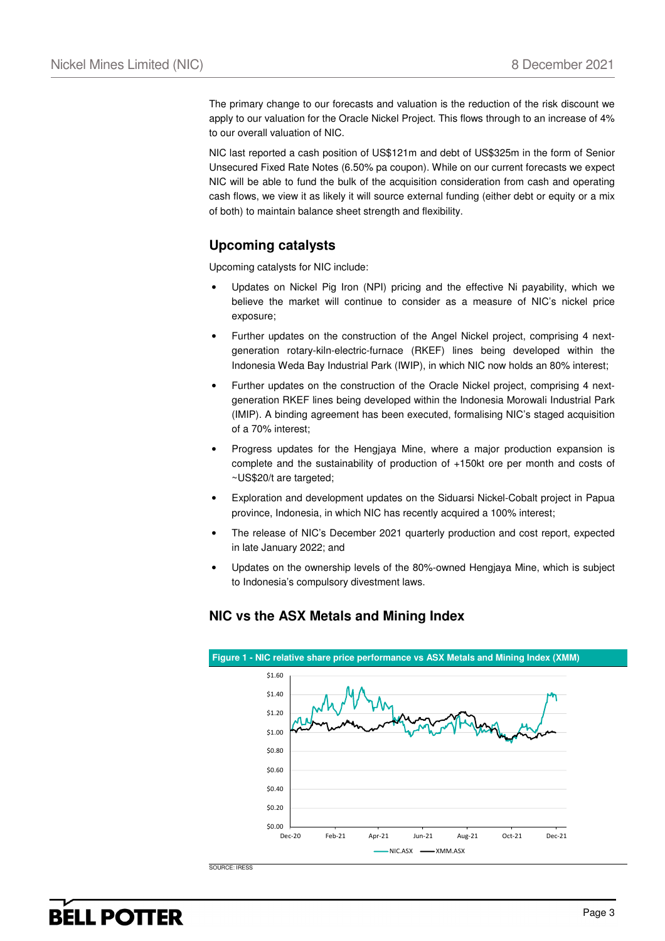The primary change to our forecasts and valuation is the reduction of the risk discount we apply to our valuation for the Oracle Nickel Project. This flows through to an increase of 4% to our overall valuation of NIC.

NIC last reported a cash position of US\$121m and debt of US\$325m in the form of Senior Unsecured Fixed Rate Notes (6.50% pa coupon). While on our current forecasts we expect NIC will be able to fund the bulk of the acquisition consideration from cash and operating cash flows, we view it as likely it will source external funding (either debt or equity or a mix of both) to maintain balance sheet strength and flexibility.

### **Upcoming catalysts**

Upcoming catalysts for NIC include:

- Updates on Nickel Pig Iron (NPI) pricing and the effective Ni payability, which we believe the market will continue to consider as a measure of NIC's nickel price exposure;
- Further updates on the construction of the Angel Nickel project, comprising 4 nextgeneration rotary-kiln-electric-furnace (RKEF) lines being developed within the Indonesia Weda Bay Industrial Park (IWIP), in which NIC now holds an 80% interest;
- Further updates on the construction of the Oracle Nickel project, comprising 4 nextgeneration RKEF lines being developed within the Indonesia Morowali Industrial Park (IMIP). A binding agreement has been executed, formalising NIC's staged acquisition of a 70% interest;
- Progress updates for the Hengjaya Mine, where a major production expansion is complete and the sustainability of production of +150kt ore per month and costs of ~US\$20/t are targeted;
- Exploration and development updates on the Siduarsi Nickel-Cobalt project in Papua province, Indonesia, in which NIC has recently acquired a 100% interest;
- The release of NIC's December 2021 quarterly production and cost report, expected in late January 2022; and
- Updates on the ownership levels of the 80%-owned Hengjaya Mine, which is subject to Indonesia's compulsory divestment laws.



### **NIC vs the ASX Metals and Mining Index**

SOURCE: IRESS

## **BELL POTTER**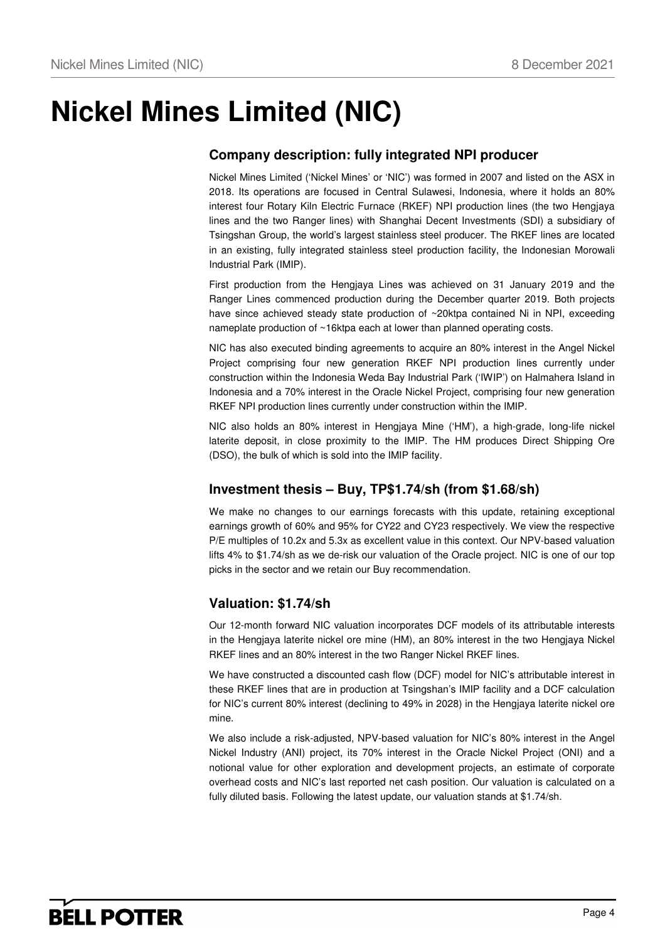## **Nickel Mines Limited (NIC)**

## **Company description: fully integrated NPI producer**

Nickel Mines Limited ('Nickel Mines' or 'NIC') was formed in 2007 and listed on the ASX in 2018. Its operations are focused in Central Sulawesi, Indonesia, where it holds an 80% interest four Rotary Kiln Electric Furnace (RKEF) NPI production lines (the two Hengjaya lines and the two Ranger lines) with Shanghai Decent Investments (SDI) a subsidiary of Tsingshan Group, the world's largest stainless steel producer. The RKEF lines are located in an existing, fully integrated stainless steel production facility, the Indonesian Morowali Industrial Park (IMIP).

First production from the Hengjaya Lines was achieved on 31 January 2019 and the Ranger Lines commenced production during the December quarter 2019. Both projects have since achieved steady state production of ~20ktpa contained Ni in NPI, exceeding nameplate production of ~16ktpa each at lower than planned operating costs.

NIC has also executed binding agreements to acquire an 80% interest in the Angel Nickel Project comprising four new generation RKEF NPI production lines currently under construction within the Indonesia Weda Bay Industrial Park ('IWIP') on Halmahera Island in Indonesia and a 70% interest in the Oracle Nickel Project, comprising four new generation RKEF NPI production lines currently under construction within the IMIP.

NIC also holds an 80% interest in Hengjaya Mine ('HM'), a high-grade, long-life nickel laterite deposit, in close proximity to the IMIP. The HM produces Direct Shipping Ore (DSO), the bulk of which is sold into the IMIP facility.

### **Investment thesis – Buy, TP\$1.74/sh (from \$1.68/sh)**

We make no changes to our earnings forecasts with this update, retaining exceptional earnings growth of 60% and 95% for CY22 and CY23 respectively. We view the respective P/E multiples of 10.2x and 5.3x as excellent value in this context. Our NPV-based valuation lifts 4% to \$1.74/sh as we de-risk our valuation of the Oracle project. NIC is one of our top picks in the sector and we retain our Buy recommendation.

### **Valuation: \$1.74/sh**

Our 12-month forward NIC valuation incorporates DCF models of its attributable interests in the Hengjaya laterite nickel ore mine (HM), an 80% interest in the two Hengjaya Nickel RKEF lines and an 80% interest in the two Ranger Nickel RKEF lines.

We have constructed a discounted cash flow (DCF) model for NIC's attributable interest in these RKEF lines that are in production at Tsingshan's IMIP facility and a DCF calculation for NIC's current 80% interest (declining to 49% in 2028) in the Hengjaya laterite nickel ore mine.

We also include a risk-adjusted, NPV-based valuation for NIC's 80% interest in the Angel Nickel Industry (ANI) project, its 70% interest in the Oracle Nickel Project (ONI) and a notional value for other exploration and development projects, an estimate of corporate overhead costs and NIC's last reported net cash position. Our valuation is calculated on a fully diluted basis. Following the latest update, our valuation stands at \$1.74/sh.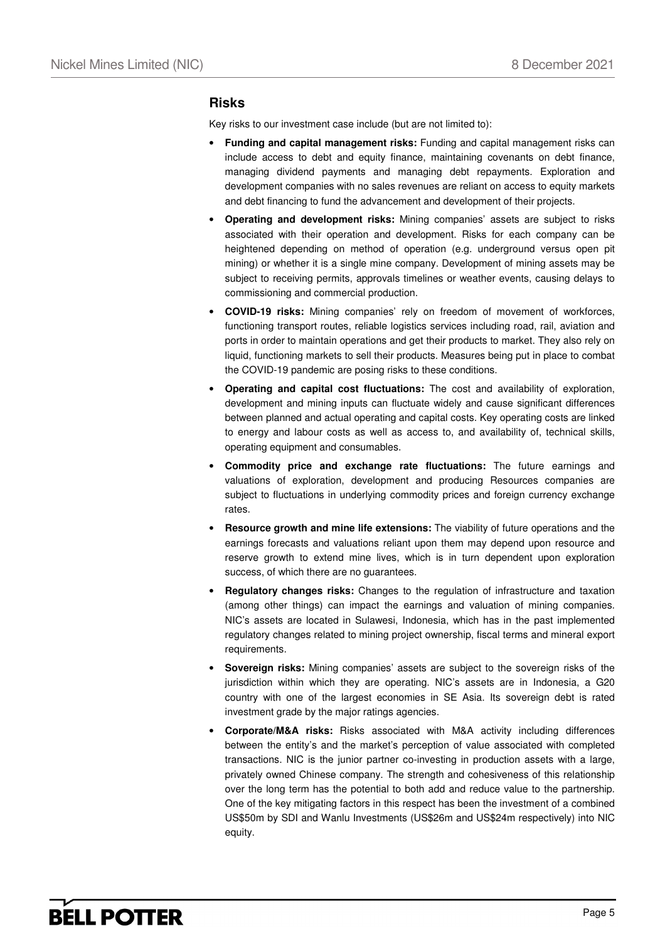#### **Risks**

Key risks to our investment case include (but are not limited to):

- **Funding and capital management risks:** Funding and capital management risks can include access to debt and equity finance, maintaining covenants on debt finance, managing dividend payments and managing debt repayments. Exploration and development companies with no sales revenues are reliant on access to equity markets and debt financing to fund the advancement and development of their projects.
- **Operating and development risks:** Mining companies' assets are subject to risks associated with their operation and development. Risks for each company can be heightened depending on method of operation (e.g. underground versus open pit mining) or whether it is a single mine company. Development of mining assets may be subject to receiving permits, approvals timelines or weather events, causing delays to commissioning and commercial production.
- **COVID-19 risks:** Mining companies' rely on freedom of movement of workforces, functioning transport routes, reliable logistics services including road, rail, aviation and ports in order to maintain operations and get their products to market. They also rely on liquid, functioning markets to sell their products. Measures being put in place to combat the COVID-19 pandemic are posing risks to these conditions.
- **Operating and capital cost fluctuations:** The cost and availability of exploration, development and mining inputs can fluctuate widely and cause significant differences between planned and actual operating and capital costs. Key operating costs are linked to energy and labour costs as well as access to, and availability of, technical skills, operating equipment and consumables.
- **Commodity price and exchange rate fluctuations:** The future earnings and valuations of exploration, development and producing Resources companies are subject to fluctuations in underlying commodity prices and foreign currency exchange rates.
- **Resource growth and mine life extensions:** The viability of future operations and the earnings forecasts and valuations reliant upon them may depend upon resource and reserve growth to extend mine lives, which is in turn dependent upon exploration success, of which there are no guarantees.
- **Regulatory changes risks:** Changes to the regulation of infrastructure and taxation (among other things) can impact the earnings and valuation of mining companies. NIC's assets are located in Sulawesi, Indonesia, which has in the past implemented regulatory changes related to mining project ownership, fiscal terms and mineral export requirements.
- **Sovereign risks:** Mining companies' assets are subject to the sovereign risks of the jurisdiction within which they are operating. NIC's assets are in Indonesia, a G20 country with one of the largest economies in SE Asia. Its sovereign debt is rated investment grade by the major ratings agencies.
- **Corporate/M&A risks:** Risks associated with M&A activity including differences between the entity's and the market's perception of value associated with completed transactions. NIC is the junior partner co-investing in production assets with a large, privately owned Chinese company. The strength and cohesiveness of this relationship over the long term has the potential to both add and reduce value to the partnership. One of the key mitigating factors in this respect has been the investment of a combined US\$50m by SDI and Wanlu Investments (US\$26m and US\$24m respectively) into NIC equity.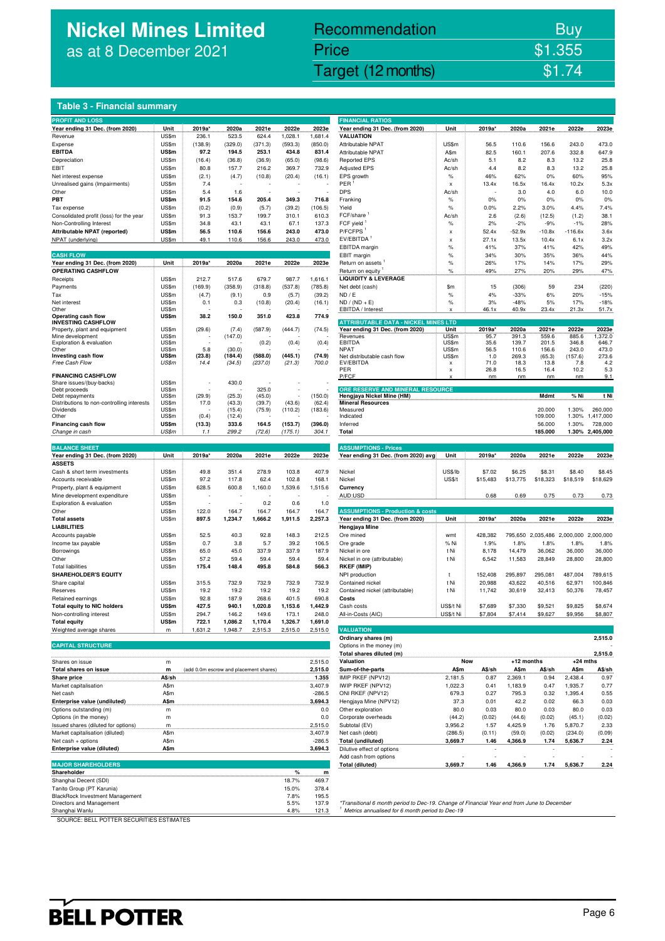## **Nickel Mines Limited** as at 8 December 2021

## Recommendation Buy **Price \$1.355**

Nickel Mines Limited (Nickel Mines Limited (Nickel Mines Limited Computer) \$1.74

#### **Table 3 - Financial summary**

| <b>PROFIT AND LOSS</b>                                                 |                |                                        |                    |                    |                    |                    | <b>FINANCIAL RATIOS</b>                                                                    |                    |                |                   |                             |                    |                 |
|------------------------------------------------------------------------|----------------|----------------------------------------|--------------------|--------------------|--------------------|--------------------|--------------------------------------------------------------------------------------------|--------------------|----------------|-------------------|-----------------------------|--------------------|-----------------|
| Year ending 31 Dec. (from 2020)                                        | Unit           | 2019a                                  | 2020a              | 2021e              | 2022e              | 2023e              | Year ending 31 Dec. (from 2020)                                                            | Unit               | 2019a*         | 2020a             | 2021e                       | 2022e              | 2023e           |
| Revenue                                                                | US\$m          | 236.1                                  | 523.5              | 624.4              | 1,028.1            | 1,681.4            | <b>VALUATION</b>                                                                           |                    |                |                   |                             |                    |                 |
| Expense                                                                | US\$m          | (138.9)                                | (329.0)            | (371.3)            | (593.3)            | (850.0)            | Attributable NPAT                                                                          | US\$m              | 56.5           | 110.6             | 156.6                       | 243.0              | 473.0           |
| <b>EBITDA</b>                                                          | US\$m          | 97.2                                   | 194.5              | 253.1              | 434.8              | 831.4              | Attributable NPAT                                                                          | A\$m               | 82.5           | 160.1             | 207.6                       | 332.8              | 647.9           |
| Depreciation                                                           | US\$m          | (16.4)                                 | (36.8)             | (36.9)             | (65.0)             | (98.6)             | <b>Reported EPS</b>                                                                        | Ac/sh              | 5.1            | 8.2               | 8.3                         | 13.2               | 25.8            |
| EBIT<br>Net interest expense                                           | US\$m<br>US\$m | 80.8<br>(2.1)                          | 157.7<br>(4.7)     | 216.2<br>(10.8)    | 369.7<br>(20.4)    | 732.9<br>(16.1)    | <b>Adjusted EPS</b><br>EPS growth                                                          | Ac/sh<br>$\%$      | 4.4<br>46%     | 8.2<br>62%        | 8.3<br>0%                   | 13.2<br>60%        | 25.8<br>95%     |
| Unrealised gains (Impairments)                                         | US\$m          | 7.4                                    |                    |                    |                    |                    | PER                                                                                        | x                  | 13.4x          | 16.5x             | 16.4x                       | 10.2x              | 5.3x            |
| Other                                                                  | US\$m          | 5.4                                    | 1.6                |                    |                    |                    | <b>DPS</b>                                                                                 | Ac/sh              |                | 3.0               | 4.0                         | 6.0                | 10.0            |
| PBT                                                                    | US\$m          | 91.5                                   | 154.6              | 205.4              | 349.3              | 716.8              | Franking                                                                                   | $\%$               | 0%             | 0%                | 0%                          | 0%                 | 0%              |
| Tax expense                                                            | US\$m          | (0.2)                                  | (0.9)              | (5.7)              | (39.2)             | (106.5)            | Yield                                                                                      | $\%$               | 0.0%           | 2.2%              | 3.0%                        | 4.4%               | 7.4%            |
| Consolidated profit (loss) for the year                                | US\$m          | 91.3                                   | 153.7              | 199.7              | 310.1              | 610.3              | FCF/share                                                                                  | Ac/sh              | 2.6            | (2.6)             | (12.5)                      | (1.2)              | 38.1            |
| Non-Controlling Interest                                               | US\$m          | 34.8                                   | 43.1               | 43.1               | 67.1               | 137.3              | FCF yield                                                                                  | $\%$               | 2%             | $-2%$             | $-9%$                       | $-1%$              | 28%             |
| Attributable NPAT (reported)                                           | US\$m          | 56.5                                   | 110.6              | 156.6              | 243.0              | 473.0              | P/FCFPS                                                                                    | x                  | 52.4x          | $-52.9x$          | $-10.8x$                    | $-116.6x$          | 3.6x            |
| NPAT (underlying)                                                      | US\$m          | 49.1                                   | 110.6              | 156.6              | 243.0              | 473.0              | EV/EBITDA <sup>1</sup><br>EBITDA margin                                                    | x                  | 27.1x          | 13.5x             | 10.4x                       | 6.1x<br>42%        | 3.2x<br>49%     |
| <b>CASH FLOW</b>                                                       |                |                                        |                    |                    |                    |                    | EBIT margin                                                                                | %<br>$\%$          | 41%<br>34%     | 37%<br>30%        | 41%<br>35%                  | 36%                | 44%             |
| Year ending 31 Dec. (from 2020)                                        | Unit           | 2019a*                                 | 2020a              | 2021e              | 2022e              | 2023e              | Return on assets                                                                           | $\%$               | 26%            | 17%               | 14%                         | 17%                | 29%             |
| <b>OPERATING CASHFLOW</b>                                              |                |                                        |                    |                    |                    |                    | Return on equity                                                                           | $\%$               | 49%            | 27%               | 20%                         | 29%                | 47%             |
| Receipts                                                               | US\$m          | 212.7                                  | 517.6              | 679.7              | 987.7              | 1,616.1            | <b>LIQUIDITY &amp; LEVERAGE</b>                                                            |                    |                |                   |                             |                    |                 |
| Payments                                                               | US\$m          | (169.9)                                | (358.9)            | (318.8)            | (537.8)            | (785.8)            | Net debt (cash)                                                                            | \$m                | 15             | (306)             | 59                          | 234                | (220)           |
| Tax                                                                    | US\$m          | (4.7)                                  | (9.1)              | 0.9                | (5.7)              | (39.2)             | ND / E                                                                                     | $\%$               | 4%             | $-33%$            | 6%                          | 20%                | $-15%$          |
| Net interest                                                           | US\$m          | 0.1                                    | 0.3                | (10.8)             | (20.4)             | (16.1)             | $ND / (ND + E)$                                                                            | $\%$               | 3%             | $-48%$            | 5%                          | 17%                | $-18%$          |
| Other                                                                  | US\$m          |                                        |                    |                    |                    |                    | EBITDA / Interest                                                                          |                    | 46.1x          | 40.9x             | 23.4x                       | 21.3x              | 51.7x           |
| Operating cash flow<br><b>INVESTING CASHFLOW</b>                       | US\$m          | 38.2                                   | 150.0              | 351.0              | 423.8              | 774.9              | <b>ATTRIBUTABLE DATA - NICKEL MINES LTD</b>                                                |                    |                |                   |                             |                    |                 |
| Property, plant and equipment                                          | US\$m          | (29.6)                                 | (7.4)              | (587.9)            | (444.7)            | (74.5)             | Year ending 31 Dec. (from 2020)                                                            | Unit               | 2019a*         | 2020a             | 2021e                       | 2022e              | 2023e           |
| Mine development                                                       | US\$m          |                                        | (147.0)            |                    |                    |                    | Revenues                                                                                   | US\$m              | 95.7           | 391.3             | 559.6                       | 885.6              | 1,372.0         |
| Exploration & evaluation<br>Other                                      | US\$m<br>US\$m | 5.8                                    | (30.0)             | (0.2)              | (0.4)              | (0.4)              | <b>EBITDA</b><br><b>NPAT</b>                                                               | US\$m<br>US\$m     | 35.6<br>56.5   | 139.7<br>110.6    | 201.5<br>156.6              | 346.8<br>243.0     | 646.7<br>473.0  |
| Investing cash flow                                                    | US\$m          | (23.8)                                 | (184.4)            | (588.0)            | (445.1)            | (74.9)             | Net distributable cash flow                                                                | US\$m              | 1.0            | 269.3             | (65.3)                      | (157.6)            | 273.6           |
| Free Cash Flow                                                         | US\$m          | 14.4                                   | (34.5)             | (237.0)            | (21.3)             | 700.0              | EV/EBITDA                                                                                  | x                  | 71.0           | 18.3              | 13.8                        | 7.8                | 4.2             |
|                                                                        |                |                                        |                    |                    |                    |                    | PER                                                                                        | x                  | 26.8           | 16.5              | 16.4                        | 10.2               | 5.3             |
| <b>FINANCING CASHFLOW</b><br>Share issues/(buy-backs)                  | US\$m          |                                        | 430.0              |                    |                    |                    | P/FCF                                                                                      |                    | nm             | nm                | nm                          | nm                 | 9.1             |
| Debt proceeds                                                          | US\$m          |                                        |                    | 325.0              |                    |                    | ORE RESERVE AND MINERAL RESOURCE                                                           |                    |                |                   |                             |                    |                 |
| Debt repayments                                                        | US\$m          | (29.9)                                 | (25.3)             | (45.0)             |                    | (150.0)            | Hengjaya Nickel Mine (HM)                                                                  |                    |                |                   | Mdmt                        | % Ni               | t Ni            |
| Distributions to non-controlling interests                             | US\$m          | 17.0                                   | (43.3)             | (39.7)             | (43.6)             | (62.4)             | <b>Mineral Resources</b>                                                                   |                    |                |                   |                             |                    | 260,000         |
| <b>Dividends</b><br>Other                                              | US\$m<br>US\$m | (0.4)                                  | (15.4)<br>(12.4)   | (75.9)             | (110.2)            | (183.6)            | Measured<br>Indicated                                                                      |                    |                |                   | 20.000<br>109.000           | 1.30%<br>1.30%     | 1,417,000       |
| <b>Financing cash flow</b>                                             | US\$m          | (13.3)                                 | 333.6              | 164.5              | (153.7)            | (396.0)            | Inferred                                                                                   |                    |                |                   | 56.000                      | 1.30%              | 728,000         |
| Change in cash                                                         | US\$m          | 1.1                                    | 299.2              | (72.6)             | (175.1)            | 304.1              | Total                                                                                      |                    |                |                   | 185.000                     |                    | 1.30% 2,405,000 |
|                                                                        |                |                                        |                    |                    |                    |                    |                                                                                            |                    |                |                   |                             |                    |                 |
| <b>BALANCE SHEET</b>                                                   |                |                                        |                    |                    |                    |                    | <b>ASSUMPTIONS - Prices</b>                                                                |                    |                |                   |                             |                    |                 |
| Year ending 31 Dec. (from 2020)                                        | Unit           | 2019a*                                 | 2020a              | 2021e              | 2022e              | 2023e              | Year ending 31 Dec. (from 2020) avg                                                        | Unit               | 2019a*         | 2020a             | 2021e                       | 2022e              | 2023e           |
| <b>ASSETS</b>                                                          |                |                                        |                    |                    |                    |                    |                                                                                            |                    |                |                   |                             |                    |                 |
| Cash & short term investments                                          | US\$m          | 49.8                                   | 351.4              | 278.9              | 103.8              | 407.9              | Nickel                                                                                     | US\$/lb            | \$7.02         | \$6.25            | \$8.31                      | \$8.40             | \$8.45          |
| Accounts receivable                                                    | US\$m          | 97.2                                   | 117.8              | 62.4               | 102.8              | 168.1              | Nickel                                                                                     | <b>US\$/t</b>      | \$15,483       | \$13,775          | \$18,323                    | \$18,519           | \$18,629        |
| Property, plant & equipment<br>Mine development expenditure            | US\$m<br>US\$m | 628.5                                  | 600.8              | 1,160.0            | 1,539.6            | 1,515.6            | Currency<br>AUD:USD                                                                        |                    | 0.68           | 0.69              | 0.75                        | 0.73               | 0.73            |
| Exploration & evaluation                                               | US\$m          | ä,                                     |                    | 0.2                | 0.6                | 1.0                |                                                                                            |                    |                |                   |                             |                    |                 |
| Other                                                                  | US\$m          | 122.0                                  | 164.7              | 164.7              | 164.7              | 164.7              | <b>ASSUMPTIONS - Production &amp; costs</b>                                                |                    |                |                   |                             |                    |                 |
| <b>Total assets</b>                                                    | US\$m          | 897.5                                  | 1,234.7            | 1,666.2            | 1,911.5            | 2,257.3            | Year ending 31 Dec. (from 2020)                                                            | Unit               | 2019a*         | 2020a             | 2021e                       | 2022e              | 2023e           |
| <b>LIABILITIES</b>                                                     |                |                                        |                    |                    |                    |                    | Hengjaya Mine                                                                              |                    |                |                   |                             |                    |                 |
| Accounts payable                                                       | US\$m          | 52.5                                   | 40.3               | 92.8               | 148.3              | 212.5              | Ore mined                                                                                  | wmt                | 428,382        |                   | 795,650 2,035,486 2,000,000 |                    | 2,000,000       |
| Income tax payable                                                     | US\$m          | 0.7                                    | 3.8                | 5.7                | 39.2               | 106.5              | Ore grade                                                                                  | % Ni               | 1.9%           | 1.8%              | 1.8%                        | 1.8%               | 1.8%            |
| Borrowings                                                             | US\$m          |                                        |                    |                    |                    | 187.9              |                                                                                            |                    |                |                   |                             | 36,000             | 36,000          |
| Other                                                                  |                | 65.0                                   | 45.0               | 337.9              | 337.9              |                    | Nickel in ore                                                                              | t Ni               | 8,178          | 14,479            | 36,062                      |                    |                 |
|                                                                        | US\$m          | 57.2                                   | 59.4               | 59.4               | 59.4               | 59.4               | Nickel in ore (attributable)                                                               | t Ni               | 6,542          | 11,583            | 28,849                      | 28,800             | 28,800          |
| <b>Total liabilities</b>                                               | US\$m          | 175.4                                  | 148.4              | 495.8              | 584.8              | 566.3              | <b>RKEF (IMIP)</b>                                                                         |                    |                |                   |                             |                    |                 |
| <b>SHAREHOLDER'S EQUITY</b>                                            |                |                                        |                    |                    |                    |                    | NPI production                                                                             | t                  | 152,408        | 295,897           | 295,081                     | 487,004            | 789,615         |
| Share capital                                                          | US\$m          | 315.5                                  | 732.9              | 732.9              | 732.9              | 732.9              | Contained nickel                                                                           | t Ni               | 20,988         | 43,622            | 40,516                      | 62,971             | 100,846         |
| Reserves                                                               | US\$m          | 19.2                                   | 19.2               | 19.2               | 19.2               | 19.2               | Contained nickel (attributable)                                                            | t Ni               | 11,742         | 30,619            | 32,413                      | 50,376             | 78,457          |
| Retained earnings                                                      | US\$m          | 92.8                                   | 187.9              | 268.6              | 401.5              | 690.8              | Costs                                                                                      |                    |                |                   |                             |                    |                 |
| <b>Total equity to NIC holders</b>                                     | US\$m          | 427.5<br>294.7                         | 940.1              | 1,020.8<br>149.6   | 1,153.6            | 1,442.9            | Cash costs                                                                                 | US\$/t Ni          | \$7,689        | \$7,330           | \$9,521                     | \$9,825            | \$8,674         |
| Non-controlling<br>interest<br><b>Total equity</b>                     | US\$m          |                                        | 146.2              |                    | 173.1              | 248.0              | All-in-Costs (AIC)                                                                         | US\$/I NI          |                |                   |                             |                    | \$8,807         |
| Weighted average shares                                                | US\$m<br>m     | 722.1<br>1,631.2                       | 1,086.2<br>1,948.7 | 1,170.4<br>2,515.3 | 1,326.7<br>2,515.0 | 1,691.0<br>2,515.0 | <b>VALUATION</b>                                                                           |                    |                |                   |                             |                    |                 |
|                                                                        |                |                                        |                    |                    |                    |                    | Ordinary shares (m)                                                                        |                    |                |                   |                             |                    | 2,515.0         |
| <b>CAPITAL STRUCTURE</b>                                               |                |                                        |                    |                    |                    |                    | Options in the money (m)                                                                   |                    |                |                   |                             |                    |                 |
|                                                                        |                |                                        |                    |                    |                    |                    | Total shares diluted (m)                                                                   |                    |                |                   |                             |                    | 2,515.0         |
| Shares on issue                                                        | m              |                                        |                    |                    |                    | 2,515.0            | Valuation                                                                                  | <b>Now</b>         |                | +12 months        |                             | $+24$ mths         |                 |
| Total shares on issue                                                  | m              | (add 0.0m escrow and placement shares) |                    |                    |                    | 2,515.0            | Sum-of-the-parts                                                                           | A\$m               | A\$/sh         | A\$m              | A\$/sh                      | A\$m               | A\$/sh          |
| Share price                                                            | A\$/sh         |                                        |                    |                    |                    | 1.355              | IMIP RKEF (NPV12)                                                                          | 2,181.5            | 0.87           | 2,369.1           | 0.94                        | 2,438.4            | 0.97            |
| Market capitalisation                                                  | A\$m           |                                        |                    |                    |                    | 3,407.9            | IWIP RKEF (NPV12)                                                                          | 1,022.3            | 0.41           | 1,183.9           | 0.47                        | 1,935.7            | 0.77            |
| Net cash                                                               | A\$m           |                                        |                    |                    |                    | $-286.5$           | ONI RKEF (NPV12)                                                                           | 679.3              | 0.27           | 795.3             | 0.32                        | 1,395.4            | 0.55            |
| Enterprise value (undiluted)                                           | A\$m           |                                        |                    |                    |                    | 3,694.3            | Hengjaya Mine (NPV12)                                                                      | 37.3               | 0.01           | 42.2              | 0.02                        | 66.3               | 0.03            |
| Options outstanding (m)                                                | m              |                                        |                    |                    |                    | 0.0                | Other exploration                                                                          | 80.0               | 0.03           | 80.0              | 0.03                        | 80.0               | 0.03            |
| Options (in the money)                                                 | m              |                                        |                    |                    |                    | 0.0                | Corporate overheads                                                                        | (44.2)             | (0.02)         | (44.6)            | (0.02)                      | (45.1)             | (0.02)          |
| Issued shares (diluted for options)<br>Market capitalisation (diluted) | m<br>A\$m      |                                        |                    |                    |                    | 2,515.0<br>3,407.9 | Subtotal (EV)<br>Net cash (debt)                                                           | 3,956.2<br>(286.5) | 1.57<br>(0.11) | 4,425.9<br>(59.0) | 1.76<br>(0.02)              | 5,870.7<br>(234.0) | 2.33<br>(0.09)  |
| Net cash + options                                                     | A\$m           |                                        |                    |                    |                    | $-286.5$           | Total (undiluted)                                                                          | 3,669.7            | 1.46           | 4,366.9           | 1.74                        | 5,636.7            | 2.24            |
| Enterprise value (diluted)                                             | A\$m           |                                        |                    |                    |                    | 3,694.3            | Dilutive effect of options                                                                 |                    | $\overline{a}$ |                   | $\overline{\phantom{a}}$    |                    |                 |
|                                                                        |                |                                        |                    |                    |                    |                    | Add cash from options                                                                      |                    |                |                   |                             |                    |                 |
| <b>MAJOR SHAREHOLDERS</b>                                              |                |                                        |                    |                    |                    |                    | <b>Total (diluted)</b>                                                                     | 3,669.7            | 1.46           | 4,366.9           | 1.74                        | 5,636.7            | 2.24            |
| Shareholder                                                            |                |                                        |                    |                    | %                  | $\mathsf{m}$       |                                                                                            |                    |                |                   |                             |                    |                 |
| Shanghai Decent (SDI)                                                  |                |                                        |                    |                    | 18.7%              | 469.7              |                                                                                            |                    |                |                   |                             |                    |                 |
| Tanito Group (PT Karunia)                                              |                |                                        |                    |                    | 15.0%              | 378.4              |                                                                                            |                    |                |                   |                             |                    |                 |
| BlackRock Investment Management<br>Directors and Management            |                |                                        |                    |                    | 7.8%<br>5.5%       | 195.5<br>137.9     | *Transitional 6 month period to Dec-19. Change of Financial Year end from June to December |                    |                |                   |                             |                    |                 |

| <b>FINANCIAL RATIOS</b>                                                                                                         |                  |                   |                   |                   |                               |                    |
|---------------------------------------------------------------------------------------------------------------------------------|------------------|-------------------|-------------------|-------------------|-------------------------------|--------------------|
| Year ending 31 Dec. (from 2020)                                                                                                 | Unit             | 2019a*            | 2020a             | 2021e             | 2022e                         | 2023e              |
| VALUATION<br>Attributable NPAT                                                                                                  | US\$m            | 56.5              | 110.6             | 156.6             | 243.0                         | 473.0              |
| Attributable NPAT                                                                                                               | A\$m             | 82.5              | 160.1             | 207.6             | 332.8                         | 647.9              |
| <b>Reported EPS</b>                                                                                                             | Ac/sh            | 5.1               | 8.2               | 8.3               | 13.2                          | 25.8               |
| <b>Adjusted EPS</b>                                                                                                             | Ac/sh            | 4.4               | 8.2               | 8.3               | 13.2                          | 25.8               |
| EPS growth                                                                                                                      | %                | 46%               | 62%               | 0%                | 60%                           | 95%                |
| PER                                                                                                                             | x                | 13.4x             | 16.5x             | 16.4x             | 10.2x                         | 5.3x               |
| <b>DPS</b>                                                                                                                      | Ac/sh<br>%       | 0%                | 3.0<br>0%         | 4.0<br>0%         | 6.0<br>0%                     | 10.0<br>0%         |
| Franking<br>Yield                                                                                                               | %                | 0.0%              | 2.2%              | 3.0%              | 4.4%                          | 7.4%               |
| $FCF/share$ <sup>1</sup>                                                                                                        | Ac/sh            | 2.6               | (2.6)             | (12.5)            | (1.2)                         | 38.1               |
| FCF yield <sup>1</sup>                                                                                                          | %                | 2%                | $-2%$             | -9%               | -1%                           | 28%                |
| P/FCFPS <sup>1</sup>                                                                                                            | x                | 52.4x             | $-52.9x$          | $-10.8x$          | $-116.6x$                     | 3.6x               |
| EV/EBITDA <sup>1</sup>                                                                                                          | x                | 27.1x             | 13.5x             | 10.4x             | 6.1x                          | 3.2x               |
| <b>EBITDA</b> margin                                                                                                            | %<br>%           | 41%               | 37%               | 41%               | 42%                           | 49%                |
| EBIT margin<br>Return on assets                                                                                                 | %                | 34%<br>26%        | 30%<br>17%        | 35%<br>14%        | 36%<br>17%                    | 44%<br>29%         |
| Return on equity '                                                                                                              | %                | 49%               | 27%               | 20%               | 29%                           | 47%                |
| <b>LIQUIDITY &amp; LEVERAGE</b>                                                                                                 |                  |                   |                   |                   |                               |                    |
| Net debt (cash)                                                                                                                 | \$m              | 15                | (306)             | 59                | 234                           | (220)              |
| ND / E                                                                                                                          | %                | 4%                | $-33%$            | 6%                | 20%                           | $-15%$             |
| ND / (ND + E)<br>EBITDA / Interest                                                                                              | %                | 3%                | $-48%$<br>40.9x   | 5%<br>23.4x       | 17%<br>21.3x                  | $-18%$             |
|                                                                                                                                 | x                | 46.1x             |                   |                   |                               | 51.7x              |
| <b>ATTRIBUTABLE DATA - NICKEL MINES LTD</b>                                                                                     |                  |                   |                   |                   |                               |                    |
| Year ending 31 Dec. (from 2020)<br>Revenues                                                                                     | Unit<br>US\$m    | 2019a*<br>95.7    | 2020a<br>391.3    | 2021e<br>559.6    | 2022e<br>885.6                | 2023e<br>1,372.0   |
| EBITDA                                                                                                                          | US\$m            | 35.6              | 139.7             | 201.5             | 346.8                         | 646.7              |
| <b>NPAT</b>                                                                                                                     | US\$m            | 56.5              | 110.6             | 156.6             | 243.0                         | 473.0              |
| Net distributable cash flow<br>EV/EBITDA                                                                                        | US\$m<br>X       | 1.0<br>71.0       | 269.3<br>18.3     | (65.3)<br>13.8    | (157.6)<br>7.8                | 273.6<br>4.2       |
| PER                                                                                                                             | X                | 26.8              | 16.5              | 16.4              | 10.2                          | 5.3                |
| P/FCF                                                                                                                           |                  | nm                | nm                | nm                | nm                            | 9.1                |
| ORE RESERVE AND MINERAL RESOURCE                                                                                                |                  |                   |                   |                   |                               |                    |
| Hengjaya Nickel Mine (HM)                                                                                                       |                  |                   |                   | Mdmt              | % Ni                          | t Ni               |
| <b>Mineral Resources</b><br>Measured                                                                                            |                  |                   |                   | 20.000            | 1.30%                         | 260,000            |
| Indicated                                                                                                                       |                  |                   |                   | 109.000           | 1.30%                         | 1,417,000          |
| Inferred                                                                                                                        |                  |                   |                   | 56.000            | 1.30%                         | 728,000            |
| Total                                                                                                                           |                  |                   |                   |                   | 1.30%                         | 2,405,000          |
|                                                                                                                                 |                  |                   |                   | 185.000           |                               |                    |
|                                                                                                                                 |                  |                   |                   |                   |                               |                    |
| <b>ASSUMPTIONS - Prices</b>                                                                                                     |                  |                   |                   |                   |                               |                    |
| Year ending 31 Dec. (from 2020) avg                                                                                             | Unit             | 2019a*            | 2020a             | 2021e             | 2022e                         | 2023e              |
| Nickel                                                                                                                          | US\$/lb          | \$7.02            | \$6.25            | \$8.31            | \$8.40                        | \$8.45             |
| Nickel                                                                                                                          | <b>US\$/t</b>    | \$15,483          | \$13,775          | \$18,323          | \$18,519                      | \$18,629           |
| Currency                                                                                                                        |                  |                   |                   |                   |                               |                    |
| AUD:USD                                                                                                                         |                  | 0.68              | 0.69              | 0.75              | 0.73                          | 0.73               |
|                                                                                                                                 |                  |                   |                   |                   |                               |                    |
| <b>ASSUMPTIONS - Production &amp; costs</b>                                                                                     |                  |                   |                   |                   |                               |                    |
| Year ending 31 Dec. (from 2020)<br>Hengjaya Mine                                                                                | Unit             | 2019a*            | 2020a             | 2021e             | 2022e                         | 2023e              |
| Ore mined                                                                                                                       | wmt              | 428,382           | 795,650           |                   | 2,035,486 2,000,000 2,000,000 |                    |
| Ore grade                                                                                                                       | % Ni             | 1.9%              | 1.8%              | 1.8%              | 1.8%                          | 1.8%               |
| Nickel in ore                                                                                                                   | t Ni             | 8,178             | 14,479            | 36,062            | 36,000                        | 36,000             |
| Nickel in ore (attributable)                                                                                                    | t Ni             | 6,542             | 11,583            | 28,849            | 28,800                        | 28,800             |
| RKEF (IMIP)                                                                                                                     | t                |                   |                   |                   |                               |                    |
| NPI production<br>Contained nickel                                                                                              | t Ni             | 152,408<br>20,988 | 295,897<br>43,622 | 295,081<br>40,516 | 487,004<br>62,971             | 789,615<br>100,846 |
| Contained nickel (attributable)                                                                                                 | t Ni             | 11,742            | 30,619            | 32,413            | 50,376                        | 78,457             |
| Costs                                                                                                                           |                  |                   |                   |                   |                               |                    |
| Cash costs                                                                                                                      | US\$/t Ni        | \$7,689           | \$7,330           | \$9,521           | \$9,825                       | \$8,674            |
| All-in-Costs (AIC)                                                                                                              | US\$/t Ni        | \$7,804           | \$7,414           | \$9,627           | <u>\$9,956</u>                | \$8,807            |
|                                                                                                                                 |                  |                   |                   |                   |                               |                    |
| <b>VALUATION</b><br>Ordinary shares (m)                                                                                         |                  |                   |                   |                   |                               | 2,515.0            |
| Options in the money (m)                                                                                                        |                  |                   |                   |                   |                               |                    |
| Total shares diluted (m)                                                                                                        |                  |                   |                   |                   |                               | 2,515.0            |
| Valuation                                                                                                                       |                  | Now               | +12 months        |                   | $+24$ mths                    |                    |
| Sum-of-the-parts                                                                                                                | A\$m             | A\$/sh            | A\$m              | A\$/sh            | A\$m                          | A\$/sh             |
|                                                                                                                                 | 2,181.5          | 0.87              | 2,369.1           | 0.94              | 2,438.4                       | 0.97               |
|                                                                                                                                 | 1,022.3<br>679.3 | 0.41<br>0.27      | 1,183.9<br>795.3  | 0.47<br>0.32      | 1,935.7<br>1,395.4            | 0.77<br>0.55       |
|                                                                                                                                 | 37.3             | 0.01              | 42.2              | 0.02              | 66.3                          | 0.03               |
|                                                                                                                                 | 80.0             | 0.03              | 80.0              | 0.03              | 80.0                          | 0.03               |
| IMIP RKEF (NPV12)<br>IWIP RKEF (NPV12)<br>ONI RKEF (NPV12)<br>Hengjaya Mine (NPV12)<br>Other exploration<br>Corporate overheads | (44.2)           | (0.02)            | (44.6)            | (0.02)            | (45.1)                        | (0.02)             |
| Subtotal (EV)                                                                                                                   | 3,956.2          | 1.57              | 4,425.9           | 1.76              | 5,870.7                       | 2.33               |
| Net cash (debt)                                                                                                                 | (286.5)          | (0.11)            | (59.0)            | (0.02)            | (234.0)                       | (0.09)             |
| Total (undiluted)                                                                                                               | 3,669.7          | 1.46              | 4,366.9           | 1.74              | 5,636.7                       | 2.24               |
| Dilutive effect of options<br>Add cash from options                                                                             |                  |                   |                   |                   |                               |                    |

Directors and Management entity and the University of the Sample of Transitional 6 month period to Dec-19. Change of Financial Year end from June to December<br>Shanghai Wanlu Walle and from the top states annualised for 6 mo Shanghai Wanlu 121.3 in the set of the set of the set of the set of the set of the set of the set of the set of the set of the set of the set of the set of the set of the set of the set of the set of the set of the set of

SOURCE: BELL POTTER SECURITIES ESTIMATES